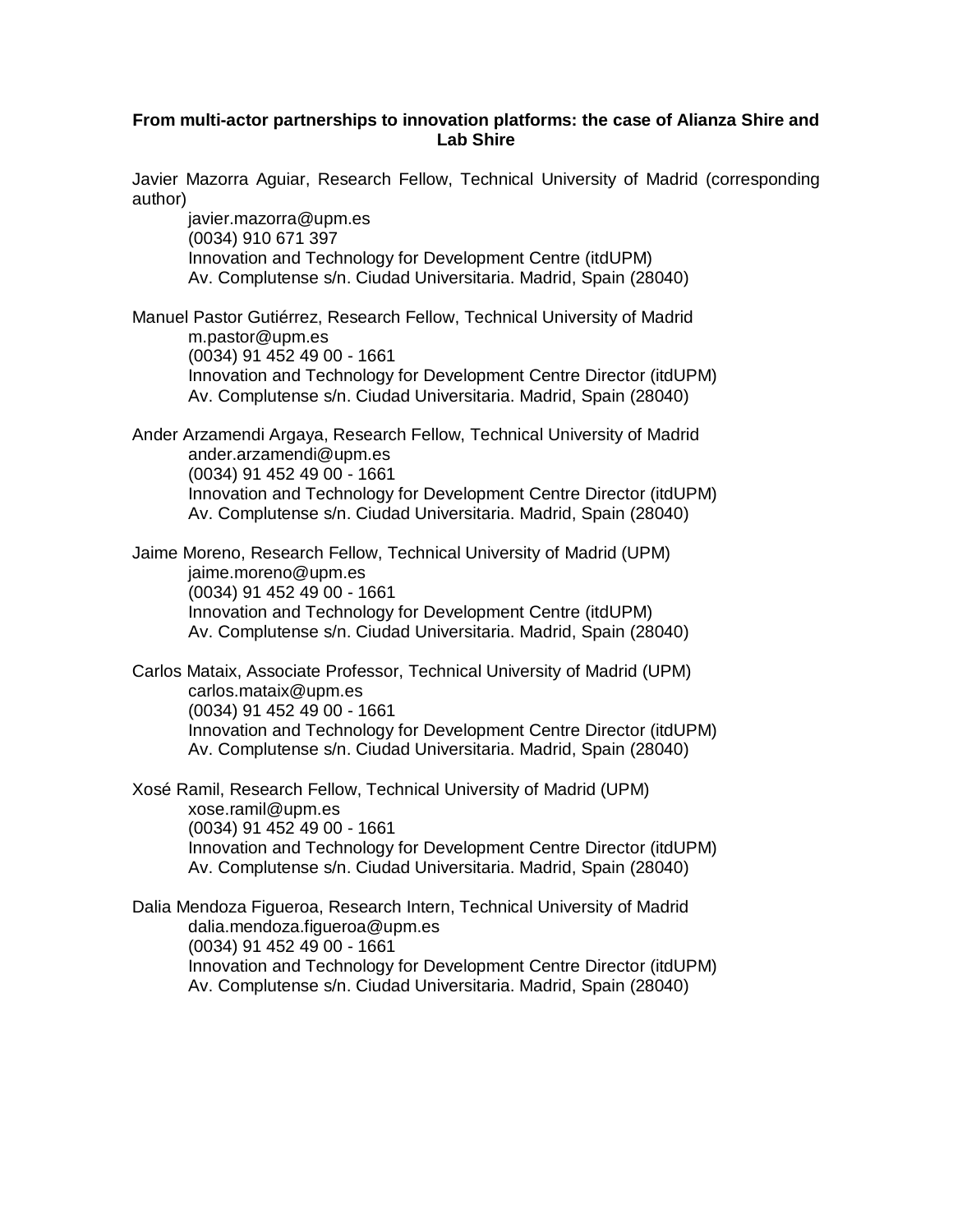#### **From multi-actor partnerships to innovation platforms: the case of Alianza Shire and Lab Shire**

Javier Mazorra Aguiar, Research Fellow, Technical University of Madrid (corresponding author)

javier.mazorra@upm.es (0034) 910 671 397 Innovation and Technology for Development Centre (itdUPM) Av. Complutense s/n. Ciudad Universitaria. Madrid, Spain (28040)

Manuel Pastor Gutiérrez, Research Fellow, Technical University of Madrid m.pastor@upm.es (0034) 91 452 49 00 - 1661 Innovation and Technology for Development Centre Director (itdUPM) Av. Complutense s/n. Ciudad Universitaria. Madrid, Spain (28040)

Ander Arzamendi Argaya, Research Fellow, Technical University of Madrid ander.arzamendi@upm.es (0034) 91 452 49 00 - 1661 Innovation and Technology for Development Centre Director (itdUPM) Av. Complutense s/n. Ciudad Universitaria. Madrid, Spain (28040)

Jaime Moreno, Research Fellow, Technical University of Madrid (UPM) jaime.moreno@upm.es (0034) 91 452 49 00 - 1661 Innovation and Technology for Development Centre (itdUPM) Av. Complutense s/n. Ciudad Universitaria. Madrid, Spain (28040)

Carlos Mataix, Associate Professor, Technical University of Madrid (UPM) carlos.mataix@upm.es (0034) 91 452 49 00 - 1661 Innovation and Technology for Development Centre Director (itdUPM) Av. Complutense s/n. Ciudad Universitaria. Madrid, Spain (28040)

Xosé Ramil, Research Fellow, Technical University of Madrid (UPM) xose.ramil@upm.es (0034) 91 452 49 00 - 1661 Innovation and Technology for Development Centre Director (itdUPM) Av. Complutense s/n. Ciudad Universitaria. Madrid, Spain (28040)

<span id="page-0-0"></span>Dalia Mendoza Figueroa, Research Intern, Technical University of Madrid dalia.mendoza.figueroa@upm.es (0034) 91 452 49 00 - 1661 Innovation and Technology for Development Centre Director (itdUPM) Av. Complutense s/n. Ciudad Universitaria. Madrid, Spain (28040)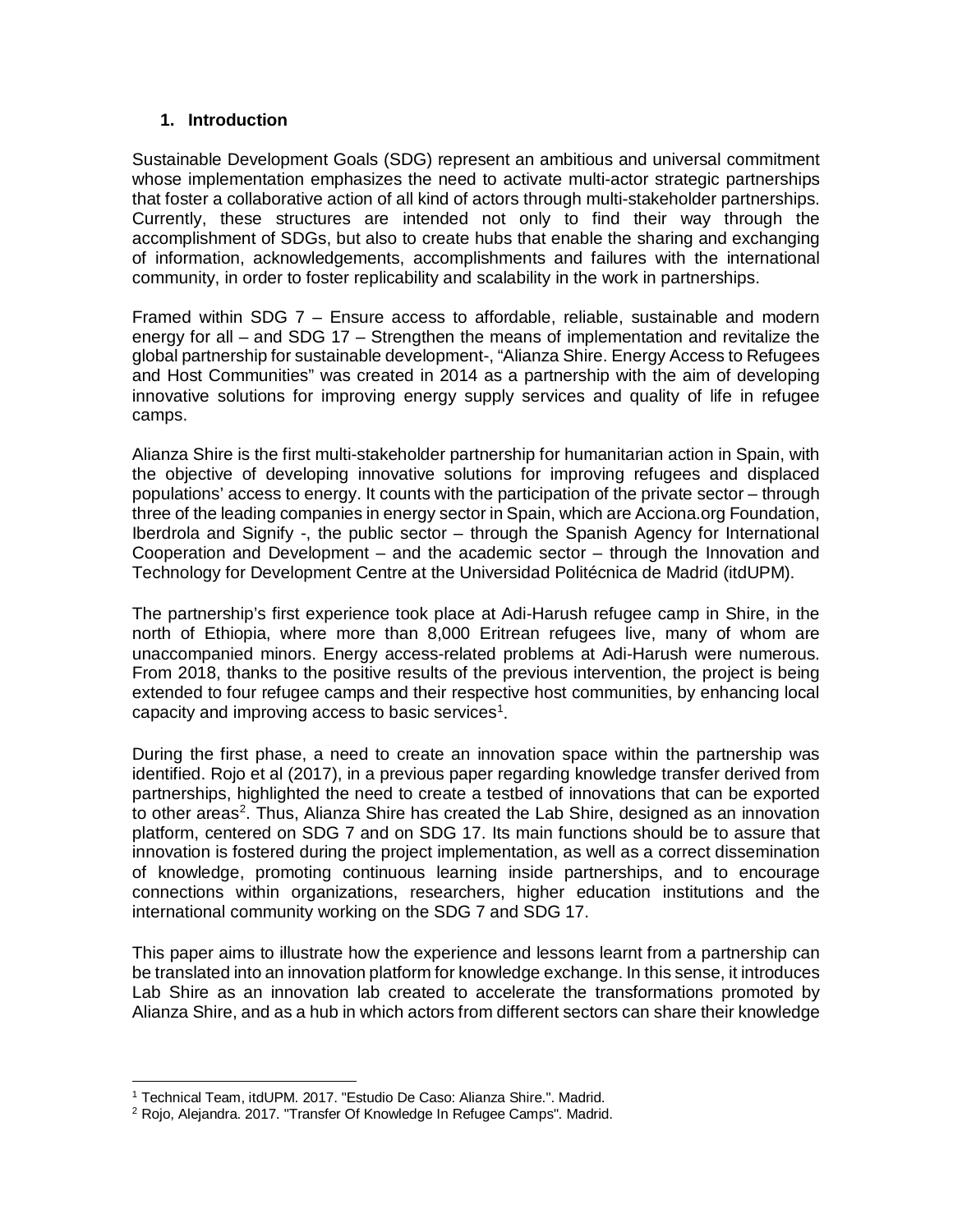### **1. Introduction**

Sustainable Development Goals (SDG) represent an ambitious and universal commitment whose implementation emphasizes the need to activate multi-actor strategic partnerships that foster a collaborative action of all kind of actors through multi-stakeholder partnerships. Currently, these structures are intended not only to find their way through the accomplishment of SDGs, but also to create hubs that enable the sharing and exchanging of information, acknowledgements, accomplishments and failures with the international community, in order to foster replicability and scalability in the work in partnerships.

Framed within SDG 7 – Ensure access to affordable, reliable, sustainable and modern energy for all – and SDG 17 – Strengthen the means of implementation and revitalize the global partnership for sustainable development-, "Alianza Shire. Energy Access to Refugees and Host Communities" was created in 2014 as a partnership with the aim of developing innovative solutions for improving energy supply services and quality of life in refugee camps.

Alianza Shire is the first multi-stakeholder partnership for humanitarian action in Spain, with the objective of developing innovative solutions for improving refugees and displaced populations' access to energy. It counts with the participation of the private sector – through three of the leading companies in energy sector in Spain, which are Acciona.org Foundation, Iberdrola and Signify -, the public sector – through the Spanish Agency for International Cooperation and Development – and the academic sector – through the Innovation and Technology for Development Centre at the Universidad Politécnica de Madrid (itdUPM).

The partnership's first experience took place at Adi-Harush refugee camp in Shire, in the north of Ethiopia, where more than 8,000 Eritrean refugees live, many of whom are unaccompanied minors. Energy access-related problems at Adi-Harush were numerous. From 2018, thanks to the positive results of the previous intervention, the project is being extended to four refugee camps and their respective host communities, by enhancing local capacity and improving access to basic services<sup>[1](#page-0-0)</sup>.

During the first phase, a need to create an innovation space within the partnership was identified. Rojo et al (2017), in a previous paper regarding knowledge transfer derived from partnerships, highlighted the need to create a testbed of innovations that can be exported to other areas<sup>[2](#page-1-0)</sup>. Thus, Alianza Shire has created the Lab Shire, designed as an innovation platform, centered on SDG 7 and on SDG 17. Its main functions should be to assure that innovation is fostered during the project implementation, as well as a correct dissemination of knowledge, promoting continuous learning inside partnerships, and to encourage connections within organizations, researchers, higher education institutions and the international community working on the SDG 7 and SDG 17.

This paper aims to illustrate how the experience and lessons learnt from a partnership can be translated into an innovation platform for knowledge exchange. In this sense, it introduces Lab Shire as an innovation lab created to accelerate the transformations promoted by Alianza Shire, and as a hub in which actors from different sectors can share their knowledge

<sup>1</sup> Technical Team, itdUPM. 2017. "Estudio De Caso: Alianza Shire.". Madrid.

<span id="page-1-0"></span><sup>2</sup> Rojo, Alejandra. 2017. "Transfer Of Knowledge In Refugee Camps". Madrid.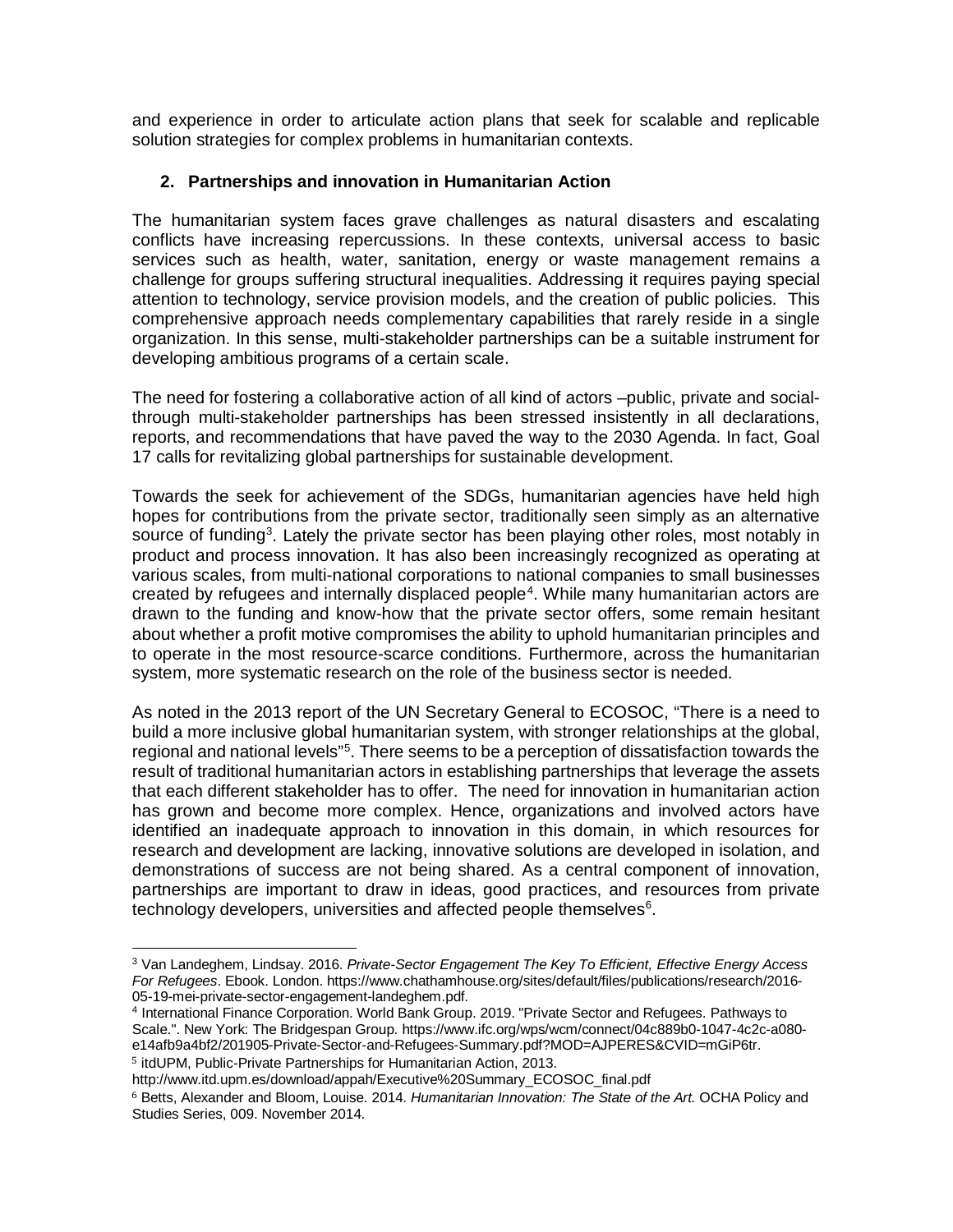and experience in order to articulate action plans that seek for scalable and replicable solution strategies for complex problems in humanitarian contexts.

# **2. Partnerships and innovation in Humanitarian Action**

The humanitarian system faces grave challenges as natural disasters and escalating conflicts have increasing repercussions. In these contexts, universal access to basic services such as health, water, sanitation, energy or waste management remains a challenge for groups suffering structural inequalities. Addressing it requires paying special attention to technology, service provision models, and the creation of public policies. This comprehensive approach needs complementary capabilities that rarely reside in a single organization. In this sense, multi-stakeholder partnerships can be a suitable instrument for developing ambitious programs of a certain scale.

The need for fostering a collaborative action of all kind of actors –public, private and socialthrough multi-stakeholder partnerships has been stressed insistently in all declarations, reports, and recommendations that have paved the way to the 2030 Agenda. In fact, Goal 17 calls for revitalizing global partnerships for sustainable development.

Towards the seek for achievement of the SDGs, humanitarian agencies have held high hopes for contributions from the private sector, traditionally seen simply as an alternative source of funding<sup>[3](#page-2-0)</sup>. Lately the private sector has been playing other roles, most notably in product and process innovation. It has also been increasingly recognized as operating at various scales, from multi-national corporations to national companies to small businesses created by refugees and internally displaced people<sup>[4](#page-2-1)</sup>. While many humanitarian actors are drawn to the funding and know-how that the private sector offers, some remain hesitant about whether a profit motive compromises the ability to uphold humanitarian principles and to operate in the most resource-scarce conditions. Furthermore, across the humanitarian system, more systematic research on the role of the business sector is needed.

As noted in the 2013 report of the UN Secretary General to ECOSOC, "There is a need to build a more inclusive global humanitarian system, with stronger relationships at the global, regional and national levels"<sup>[5](#page-2-2)</sup>. There seems to be a perception of dissatisfaction towards the result of traditional humanitarian actors in establishing partnerships that leverage the assets that each different stakeholder has to offer. The need for innovation in humanitarian action has grown and become more complex. Hence, organizations and involved actors have identified an inadequate approach to innovation in this domain, in which resources for research and development are lacking, innovative solutions are developed in isolation, and demonstrations of success are not being shared. As a central component of innovation, partnerships are important to draw in ideas, good practices, and resources from private technology developers, universities and affected people themselves $^6$  $^6$ .

<span id="page-2-0"></span><sup>3</sup> Van Landeghem, Lindsay. 2016. *Private-Sector Engagement The Key To Efficient, Effective Energy Access For Refugees*. Ebook. London. https://www.chathamhouse.org/sites/default/files/publications/research/2016- 05-19-mei-private-sector-engagement-landeghem.pdf.

<span id="page-2-1"></span><sup>4</sup> International Finance Corporation. World Bank Group. 2019. "Private Sector and Refugees. Pathways to Scale.". New York: The Bridgespan Group. https://www.ifc.org/wps/wcm/connect/04c889b0-1047-4c2c-a080 e14afb9a4bf2/201905-Private-Sector-and-Refugees-Summary.pdf?MOD=AJPERES&CVID=mGiP6tr.

<span id="page-2-2"></span><sup>5</sup> itdUPM, Public-Private Partnerships for Humanitarian Action, 2013.

http://www.itd.upm.es/download/appah/Executive%20Summary\_ECOSOC\_final.pdf

<span id="page-2-3"></span><sup>6</sup> Betts, Alexander and Bloom, Louise. 2014. *Humanitarian Innovation: The State of the Art.* OCHA Policy and Studies Series, 009. November 2014.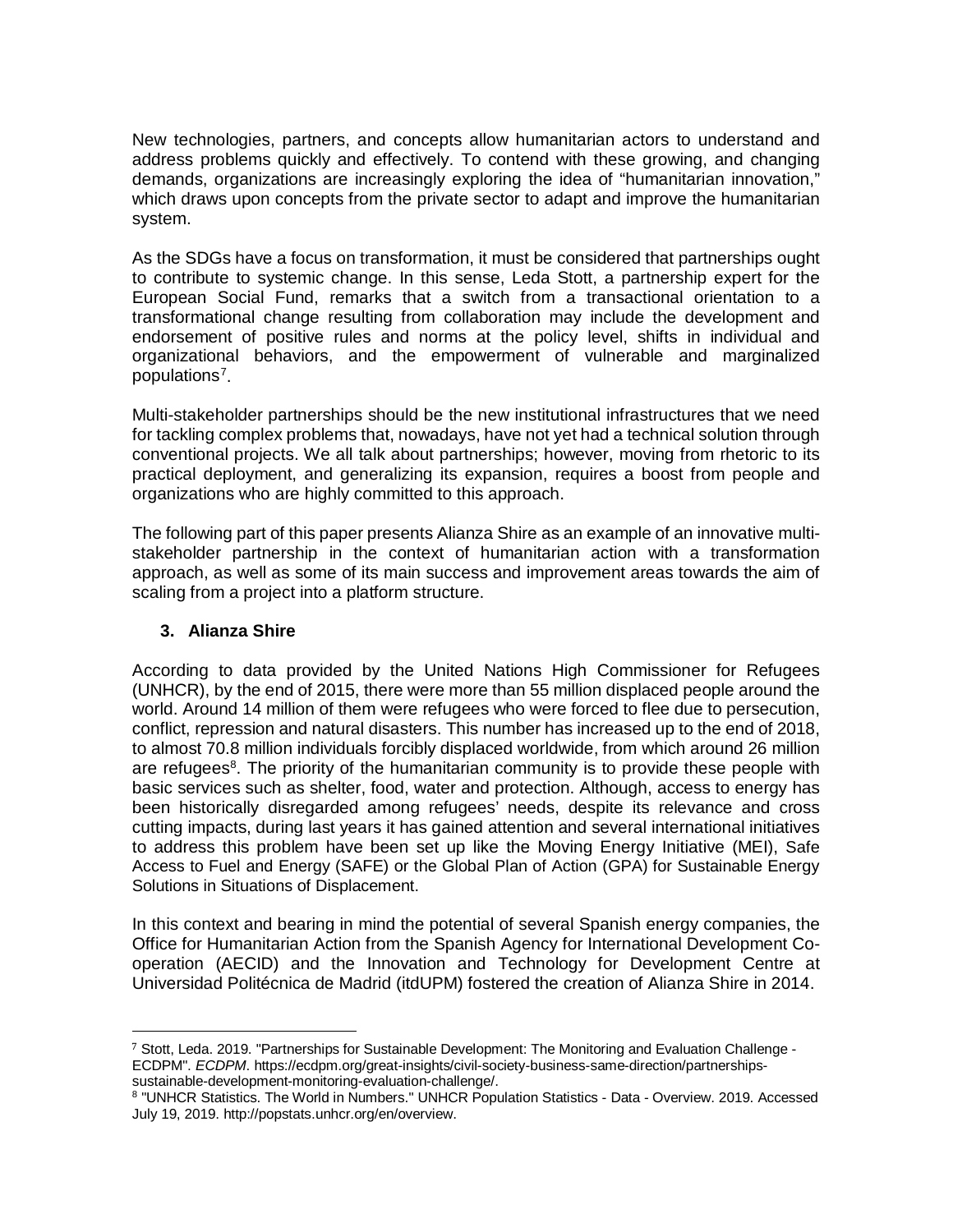New technologies, partners, and concepts allow humanitarian actors to understand and address problems quickly and effectively. To contend with these growing, and changing demands, organizations are increasingly exploring the idea of "humanitarian innovation," which draws upon concepts from the private sector to adapt and improve the humanitarian system.

As the SDGs have a focus on transformation, it must be considered that partnerships ought to contribute to systemic change. In this sense, Leda Stott, a partnership expert for the European Social Fund, remarks that a switch from a transactional orientation to a transformational change resulting from collaboration may include the development and endorsement of positive rules and norms at the policy level, shifts in individual and organizational behaviors, and the empowerment of vulnerable and marginalized populations<sup>[7](#page-3-0)</sup>.

Multi-stakeholder partnerships should be the new institutional infrastructures that we need for tackling complex problems that, nowadays, have not yet had a technical solution through conventional projects. We all talk about partnerships; however, moving from rhetoric to its practical deployment, and generalizing its expansion, requires a boost from people and organizations who are highly committed to this approach.

The following part of this paper presents Alianza Shire as an example of an innovative multistakeholder partnership in the context of humanitarian action with a transformation approach, as well as some of its main success and improvement areas towards the aim of scaling from a project into a platform structure.

## **3. Alianza Shire**

According to data provided by the United Nations High Commissioner for Refugees (UNHCR), by the end of 2015, there were more than 55 million displaced people around the world. Around 14 million of them were refugees who were forced to flee due to persecution, conflict, repression and natural disasters. This number has increased up to the end of 2018, to almost 70.8 million individuals forcibly displaced worldwide, from which around 26 million are refugees<sup>[8](#page-3-1)</sup>. The priority of the humanitarian community is to provide these people with basic services such as shelter, food, water and protection. Although, access to energy has been historically disregarded among refugees' needs, despite its relevance and cross cutting impacts, during last years it has gained attention and several international initiatives to address this problem have been set up like the Moving Energy Initiative (MEI), Safe Access to Fuel and Energy (SAFE) or the Global Plan of Action (GPA) for Sustainable Energy Solutions in Situations of Displacement.

In this context and bearing in mind the potential of several Spanish energy companies, the Office for Humanitarian Action from the Spanish Agency for International Development Cooperation (AECID) and the Innovation and Technology for Development Centre at Universidad Politécnica de Madrid (itdUPM) fostered the creation of Alianza Shire in 2014.

<span id="page-3-0"></span> <sup>7</sup> Stott, Leda. 2019. "Partnerships for Sustainable Development: The Monitoring and Evaluation Challenge - ECDPM". *ECDPM*. https://ecdpm.org/great-insights/civil-society-business-same-direction/partnershipssustainable-development-monitoring-evaluation-challenge/.

<span id="page-3-1"></span><sup>8</sup> "UNHCR Statistics. The World in Numbers." UNHCR Population Statistics - Data - Overview. 2019. Accessed July 19, 2019. http://popstats.unhcr.org/en/overview.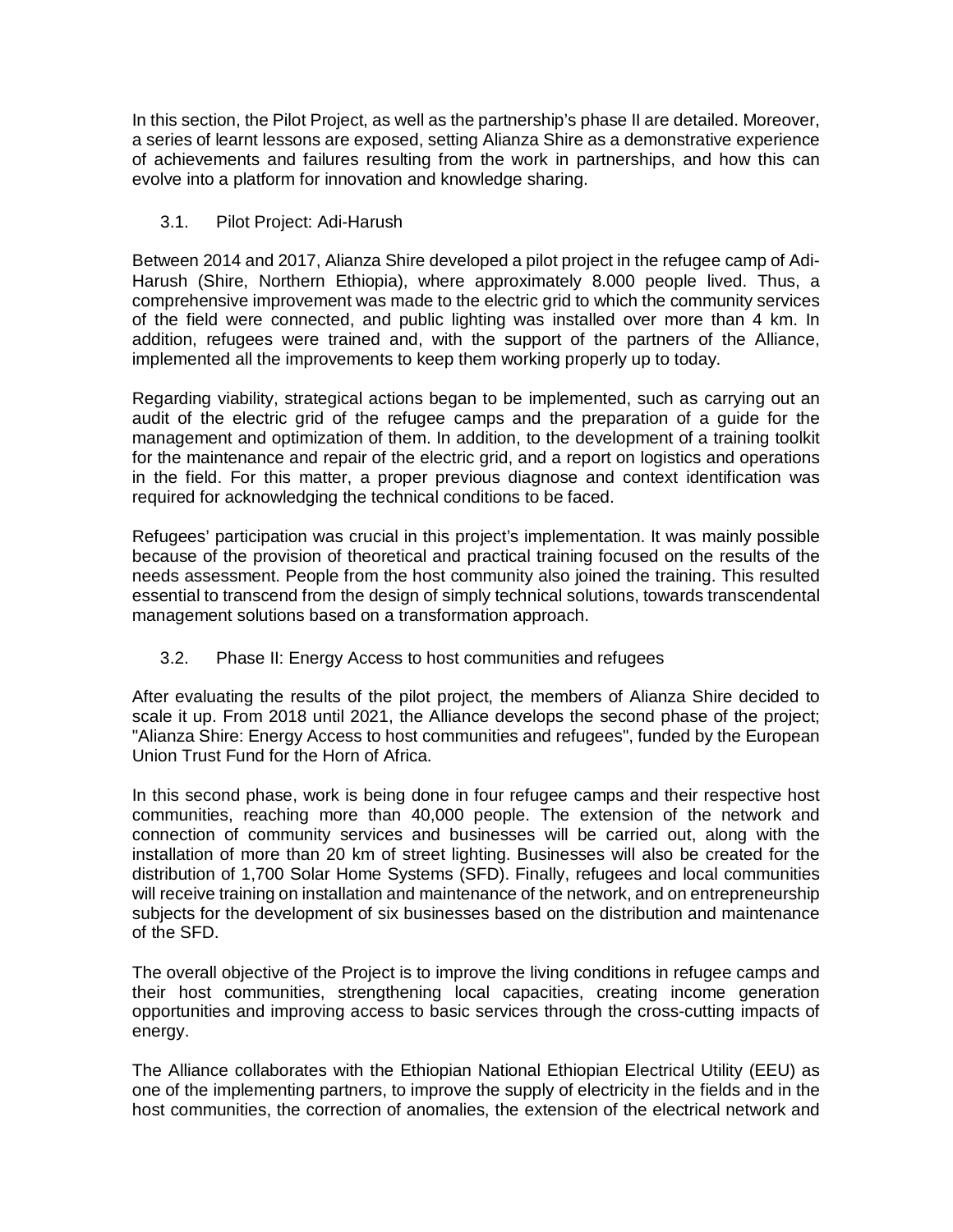In this section, the Pilot Project, as well as the partnership's phase II are detailed. Moreover, a series of learnt lessons are exposed, setting Alianza Shire as a demonstrative experience of achievements and failures resulting from the work in partnerships, and how this can evolve into a platform for innovation and knowledge sharing.

# 3.1. Pilot Project: Adi-Harush

Between 2014 and 2017, Alianza Shire developed a pilot project in the refugee camp of Adi-Harush (Shire, Northern Ethiopia), where approximately 8.000 people lived. Thus, a comprehensive improvement was made to the electric grid to which the community services of the field were connected, and public lighting was installed over more than 4 km. In addition, refugees were trained and, with the support of the partners of the Alliance, implemented all the improvements to keep them working properly up to today.

Regarding viability, strategical actions began to be implemented, such as carrying out an audit of the electric grid of the refugee camps and the preparation of a guide for the management and optimization of them. In addition, to the development of a training toolkit for the maintenance and repair of the electric grid, and a report on logistics and operations in the field. For this matter, a proper previous diagnose and context identification was required for acknowledging the technical conditions to be faced.

Refugees' participation was crucial in this project's implementation. It was mainly possible because of the provision of theoretical and practical training focused on the results of the needs assessment. People from the host community also joined the training. This resulted essential to transcend from the design of simply technical solutions, towards transcendental management solutions based on a transformation approach.

# 3.2. Phase II: Energy Access to host communities and refugees

After evaluating the results of the pilot project, the members of Alianza Shire decided to scale it up. From 2018 until 2021, the Alliance develops the second phase of the project; "Alianza Shire: Energy Access to host communities and refugees", funded by the European Union Trust Fund for the Horn of Africa.

In this second phase, work is being done in four refugee camps and their respective host communities, reaching more than 40,000 people. The extension of the network and connection of community services and businesses will be carried out, along with the installation of more than 20 km of street lighting. Businesses will also be created for the distribution of 1,700 Solar Home Systems (SFD). Finally, refugees and local communities will receive training on installation and maintenance of the network, and on entrepreneurship subjects for the development of six businesses based on the distribution and maintenance of the SFD.

The overall objective of the Project is to improve the living conditions in refugee camps and their host communities, strengthening local capacities, creating income generation opportunities and improving access to basic services through the cross-cutting impacts of energy.

The Alliance collaborates with the Ethiopian National Ethiopian Electrical Utility (EEU) as one of the implementing partners, to improve the supply of electricity in the fields and in the host communities, the correction of anomalies, the extension of the electrical network and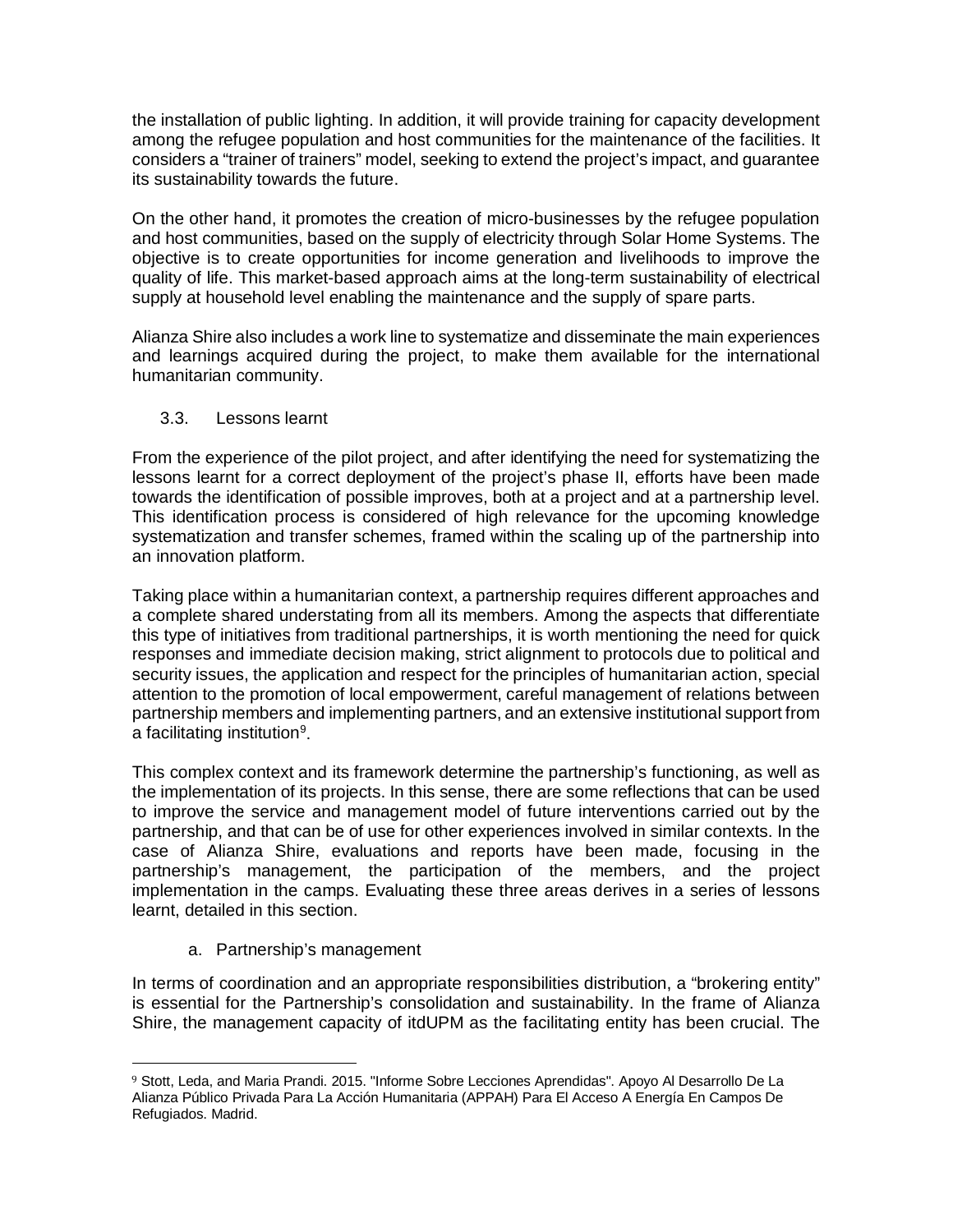the installation of public lighting. In addition, it will provide training for capacity development among the refugee population and host communities for the maintenance of the facilities. It considers a "trainer of trainers" model, seeking to extend the project's impact, and guarantee its sustainability towards the future.

On the other hand, it promotes the creation of micro-businesses by the refugee population and host communities, based on the supply of electricity through Solar Home Systems. The objective is to create opportunities for income generation and livelihoods to improve the quality of life. This market-based approach aims at the long-term sustainability of electrical supply at household level enabling the maintenance and the supply of spare parts.

Alianza Shire also includes a work line to systematize and disseminate the main experiences and learnings acquired during the project, to make them available for the international humanitarian community.

## 3.3. Lessons learnt

From the experience of the pilot project, and after identifying the need for systematizing the lessons learnt for a correct deployment of the project's phase II, efforts have been made towards the identification of possible improves, both at a project and at a partnership level. This identification process is considered of high relevance for the upcoming knowledge systematization and transfer schemes, framed within the scaling up of the partnership into an innovation platform.

Taking place within a humanitarian context, a partnership requires different approaches and a complete shared understating from all its members. Among the aspects that differentiate this type of initiatives from traditional partnerships, it is worth mentioning the need for quick responses and immediate decision making, strict alignment to protocols due to political and security issues, the application and respect for the principles of humanitarian action, special attention to the promotion of local empowerment, careful management of relations between partnership members and implementing partners, and an extensive institutional support from a facilitating institution<sup>[9](#page-5-0)</sup>.

This complex context and its framework determine the partnership's functioning, as well as the implementation of its projects. In this sense, there are some reflections that can be used to improve the service and management model of future interventions carried out by the partnership, and that can be of use for other experiences involved in similar contexts. In the case of Alianza Shire, evaluations and reports have been made, focusing in the partnership's management, the participation of the members, and the project implementation in the camps. Evaluating these three areas derives in a series of lessons learnt, detailed in this section.

a. Partnership's management

In terms of coordination and an appropriate responsibilities distribution, a "brokering entity" is essential for the Partnership's consolidation and sustainability. In the frame of Alianza Shire, the management capacity of itdUPM as the facilitating entity has been crucial. The

<span id="page-5-0"></span><sup>9</sup> Stott, Leda, and Maria Prandi. 2015. "Informe Sobre Lecciones Aprendidas". Apoyo Al Desarrollo De La Alianza Público Privada Para La Acción Humanitaria (APPAH) Para El Acceso A Energía En Campos De Refugiados. Madrid.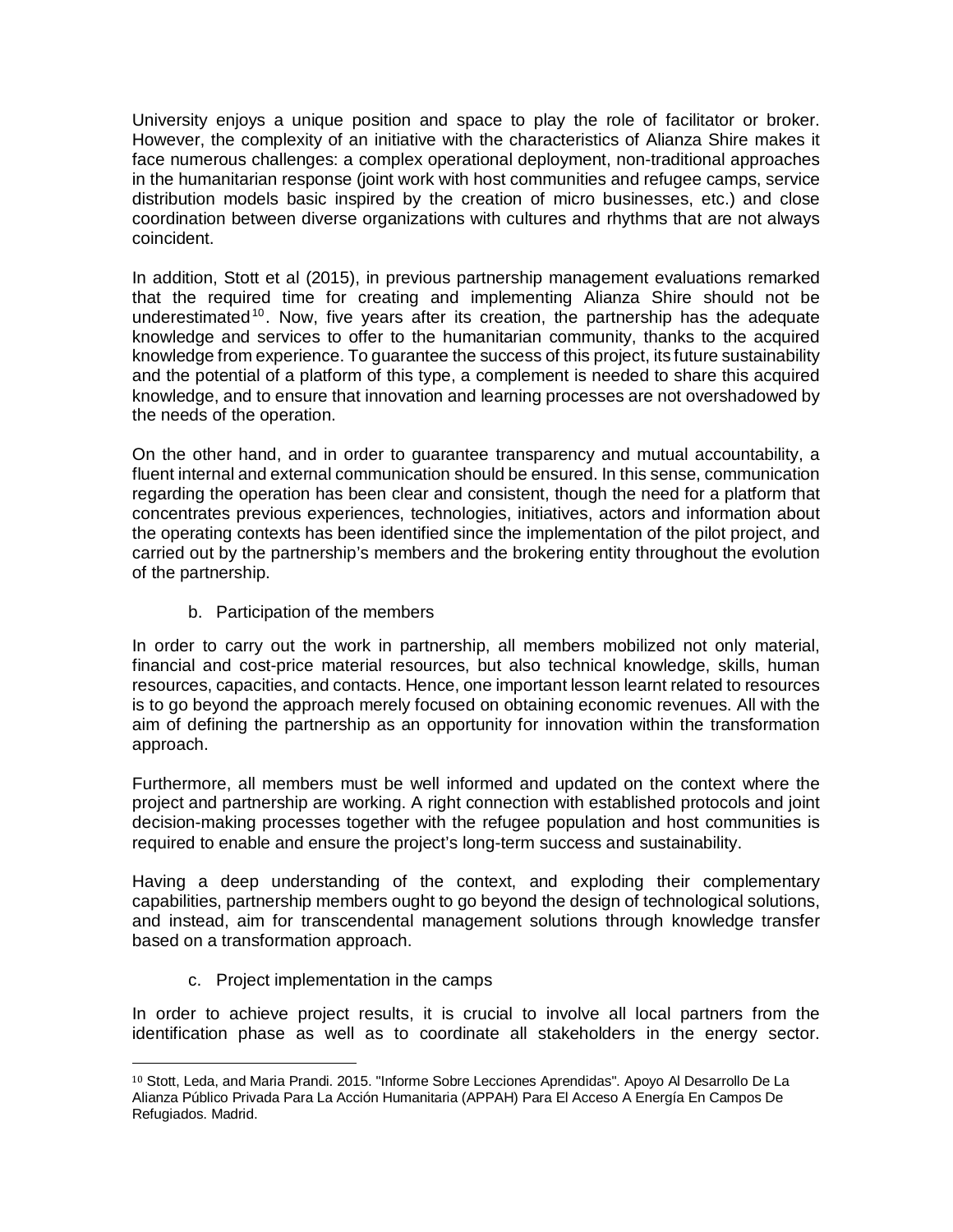University enjoys a unique position and space to play the role of facilitator or broker. However, the complexity of an initiative with the characteristics of Alianza Shire makes it face numerous challenges: a complex operational deployment, non-traditional approaches in the humanitarian response (joint work with host communities and refugee camps, service distribution models basic inspired by the creation of micro businesses, etc.) and close coordination between diverse organizations with cultures and rhythms that are not always coincident.

In addition, Stott et al (2015), in previous partnership management evaluations remarked that the required time for creating and implementing Alianza Shire should not be underestimated<sup>[10](#page-6-0)</sup>. Now, five years after its creation, the partnership has the adequate knowledge and services to offer to the humanitarian community, thanks to the acquired knowledge from experience. To guarantee the success of this project, its future sustainability and the potential of a platform of this type, a complement is needed to share this acquired knowledge, and to ensure that innovation and learning processes are not overshadowed by the needs of the operation.

On the other hand, and in order to guarantee transparency and mutual accountability, a fluent internal and external communication should be ensured. In this sense, communication regarding the operation has been clear and consistent, though the need for a platform that concentrates previous experiences, technologies, initiatives, actors and information about the operating contexts has been identified since the implementation of the pilot project, and carried out by the partnership's members and the brokering entity throughout the evolution of the partnership.

b. Participation of the members

In order to carry out the work in partnership, all members mobilized not only material, financial and cost-price material resources, but also technical knowledge, skills, human resources, capacities, and contacts. Hence, one important lesson learnt related to resources is to go beyond the approach merely focused on obtaining economic revenues. All with the aim of defining the partnership as an opportunity for innovation within the transformation approach.

Furthermore, all members must be well informed and updated on the context where the project and partnership are working. A right connection with established protocols and joint decision-making processes together with the refugee population and host communities is required to enable and ensure the project's long-term success and sustainability.

Having a deep understanding of the context, and exploding their complementary capabilities, partnership members ought to go beyond the design of technological solutions, and instead, aim for transcendental management solutions through knowledge transfer based on a transformation approach.

c. Project implementation in the camps

In order to achieve project results, it is crucial to involve all local partners from the identification phase as well as to coordinate all stakeholders in the energy sector.

<span id="page-6-0"></span> <sup>10</sup> Stott, Leda, and Maria Prandi. 2015. "Informe Sobre Lecciones Aprendidas". Apoyo Al Desarrollo De La Alianza Público Privada Para La Acción Humanitaria (APPAH) Para El Acceso A Energía En Campos De Refugiados. Madrid.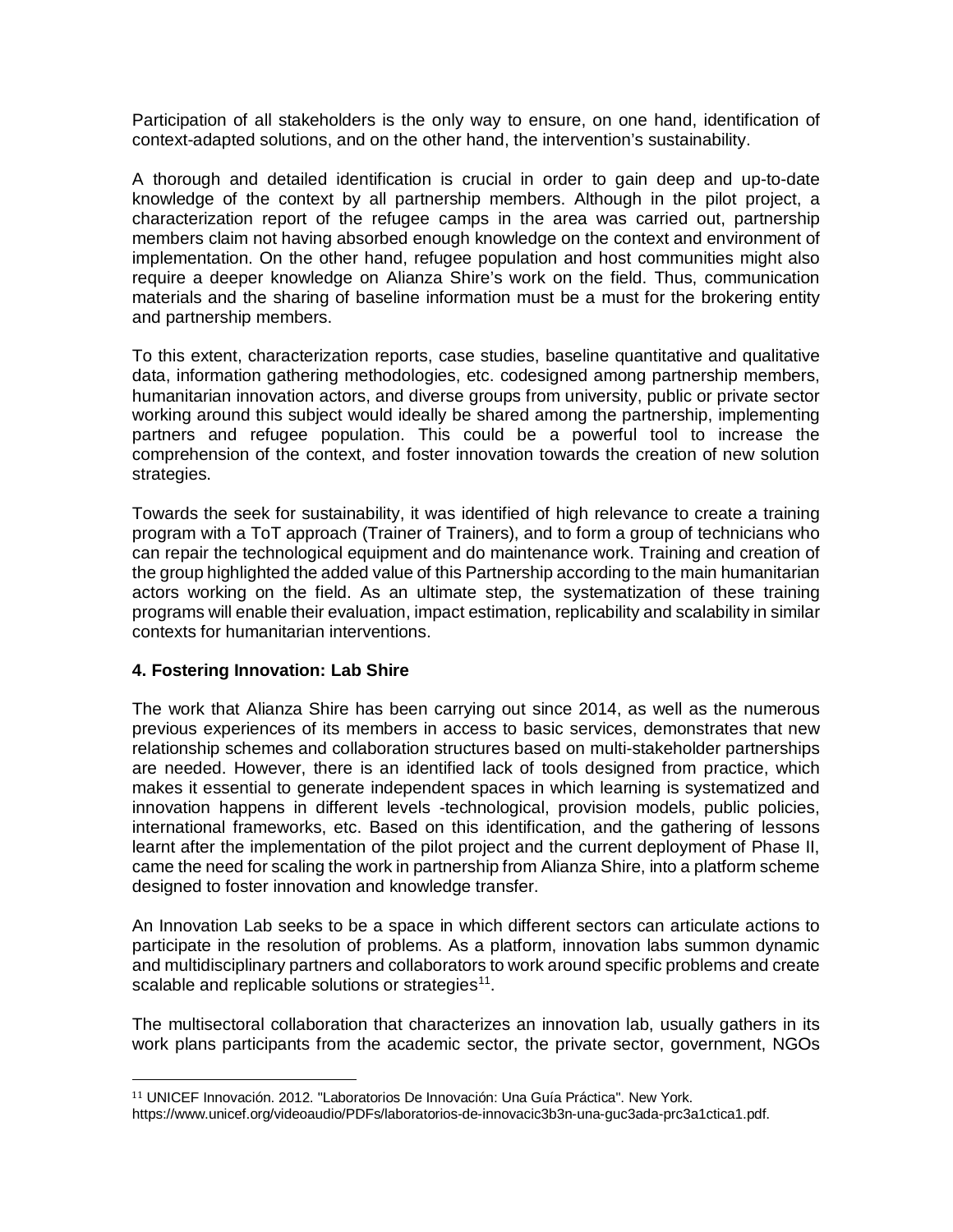Participation of all stakeholders is the only way to ensure, on one hand, identification of context-adapted solutions, and on the other hand, the intervention's sustainability.

A thorough and detailed identification is crucial in order to gain deep and up-to-date knowledge of the context by all partnership members. Although in the pilot project, a characterization report of the refugee camps in the area was carried out, partnership members claim not having absorbed enough knowledge on the context and environment of implementation. On the other hand, refugee population and host communities might also require a deeper knowledge on Alianza Shire's work on the field. Thus, communication materials and the sharing of baseline information must be a must for the brokering entity and partnership members.

To this extent, characterization reports, case studies, baseline quantitative and qualitative data, information gathering methodologies, etc. codesigned among partnership members, humanitarian innovation actors, and diverse groups from university, public or private sector working around this subject would ideally be shared among the partnership, implementing partners and refugee population. This could be a powerful tool to increase the comprehension of the context, and foster innovation towards the creation of new solution strategies.

Towards the seek for sustainability, it was identified of high relevance to create a training program with a ToT approach (Trainer of Trainers), and to form a group of technicians who can repair the technological equipment and do maintenance work. Training and creation of the group highlighted the added value of this Partnership according to the main humanitarian actors working on the field. As an ultimate step, the systematization of these training programs will enable their evaluation, impact estimation, replicability and scalability in similar contexts for humanitarian interventions.

## **4. Fostering Innovation: Lab Shire**

The work that Alianza Shire has been carrying out since 2014, as well as the numerous previous experiences of its members in access to basic services, demonstrates that new relationship schemes and collaboration structures based on multi-stakeholder partnerships are needed. However, there is an identified lack of tools designed from practice, which makes it essential to generate independent spaces in which learning is systematized and innovation happens in different levels -technological, provision models, public policies, international frameworks, etc. Based on this identification, and the gathering of lessons learnt after the implementation of the pilot project and the current deployment of Phase II, came the need for scaling the work in partnership from Alianza Shire, into a platform scheme designed to foster innovation and knowledge transfer.

An Innovation Lab seeks to be a space in which different sectors can articulate actions to participate in the resolution of problems. As a platform, innovation labs summon dynamic and multidisciplinary partners and collaborators to work around specific problems and create scalable and replicable solutions or strategies<sup>11</sup>.

The multisectoral collaboration that characterizes an innovation lab, usually gathers in its work plans participants from the academic sector, the private sector, government, NGOs

<span id="page-7-0"></span> <sup>11</sup> UNICEF Innovación. 2012. "Laboratorios De Innovación: Una Guía Práctica". New York.

https://www.unicef.org/videoaudio/PDFs/laboratorios-de-innovacic3b3n-una-guc3ada-prc3a1ctica1.pdf.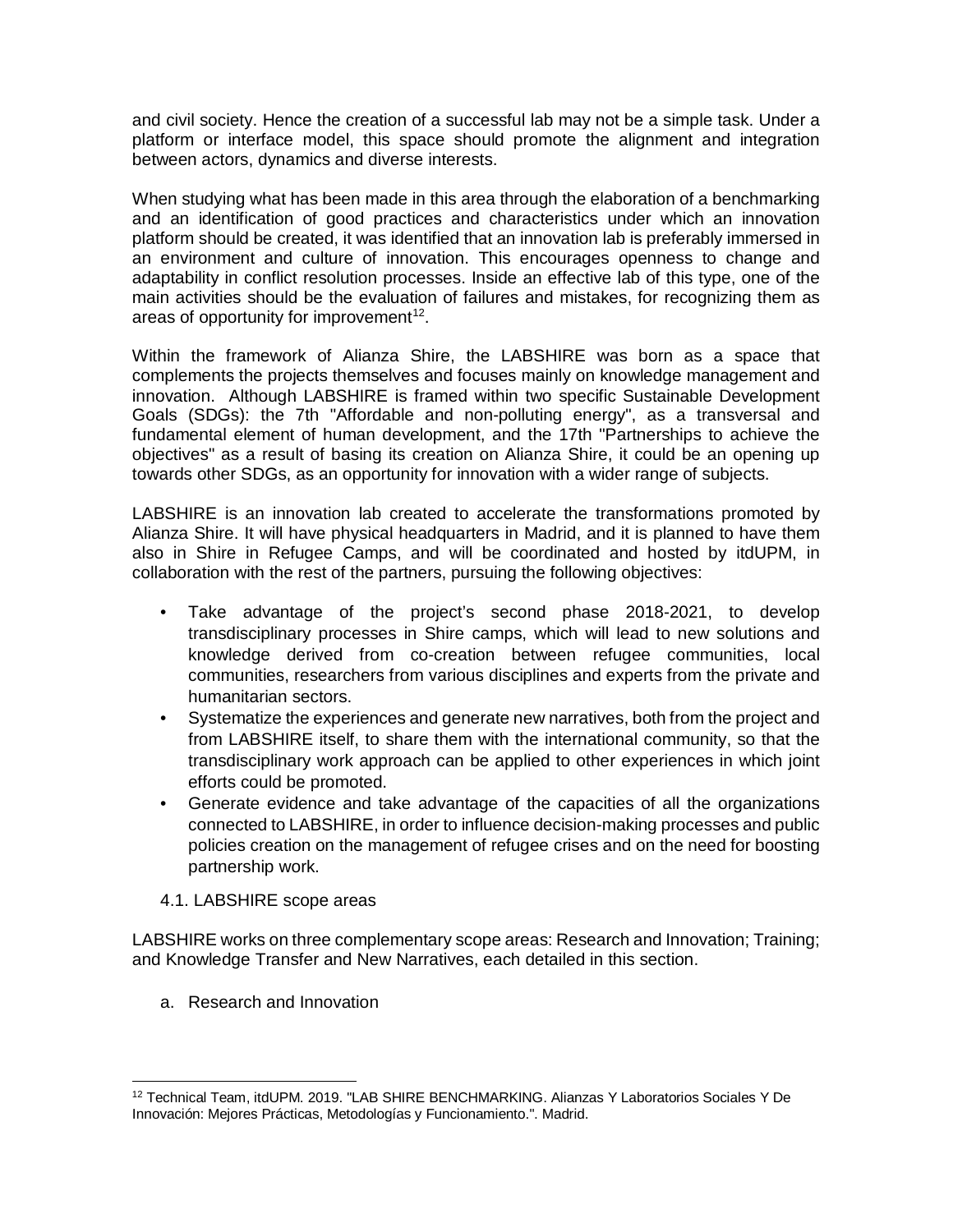and civil society. Hence the creation of a successful lab may not be a simple task. Under a platform or interface model, this space should promote the alignment and integration between actors, dynamics and diverse interests.

When studying what has been made in this area through the elaboration of a benchmarking and an identification of good practices and characteristics under which an innovation platform should be created, it was identified that an innovation lab is preferably immersed in an environment and culture of innovation. This encourages openness to change and adaptability in conflict resolution processes. Inside an effective lab of this type, one of the main activities should be the evaluation of failures and mistakes, for recognizing them as areas of opportunity for improvement $12$ .

Within the framework of Alianza Shire, the LABSHIRE was born as a space that complements the projects themselves and focuses mainly on knowledge management and innovation. Although LABSHIRE is framed within two specific Sustainable Development Goals (SDGs): the 7th "Affordable and non-polluting energy", as a transversal and fundamental element of human development, and the 17th "Partnerships to achieve the objectives" as a result of basing its creation on Alianza Shire, it could be an opening up towards other SDGs, as an opportunity for innovation with a wider range of subjects.

LABSHIRE is an innovation lab created to accelerate the transformations promoted by Alianza Shire. It will have physical headquarters in Madrid, and it is planned to have them also in Shire in Refugee Camps, and will be coordinated and hosted by itdUPM, in collaboration with the rest of the partners, pursuing the following objectives:

- Take advantage of the project's second phase 2018-2021, to develop transdisciplinary processes in Shire camps, which will lead to new solutions and knowledge derived from co-creation between refugee communities, local communities, researchers from various disciplines and experts from the private and humanitarian sectors.
- Systematize the experiences and generate new narratives, both from the project and from LABSHIRE itself, to share them with the international community, so that the transdisciplinary work approach can be applied to other experiences in which joint efforts could be promoted.
- Generate evidence and take advantage of the capacities of all the organizations connected to LABSHIRE, in order to influence decision-making processes and public policies creation on the management of refugee crises and on the need for boosting partnership work.
- 4.1. LABSHIRE scope areas

LABSHIRE works on three complementary scope areas: Research and Innovation; Training; and Knowledge Transfer and New Narratives, each detailed in this section.

a. Research and Innovation

<span id="page-8-0"></span><sup>12</sup> Technical Team, itdUPM. 2019. "LAB SHIRE BENCHMARKING. Alianzas Y Laboratorios Sociales Y De Innovación: Mejores Prácticas, Metodologías y Funcionamiento.". Madrid.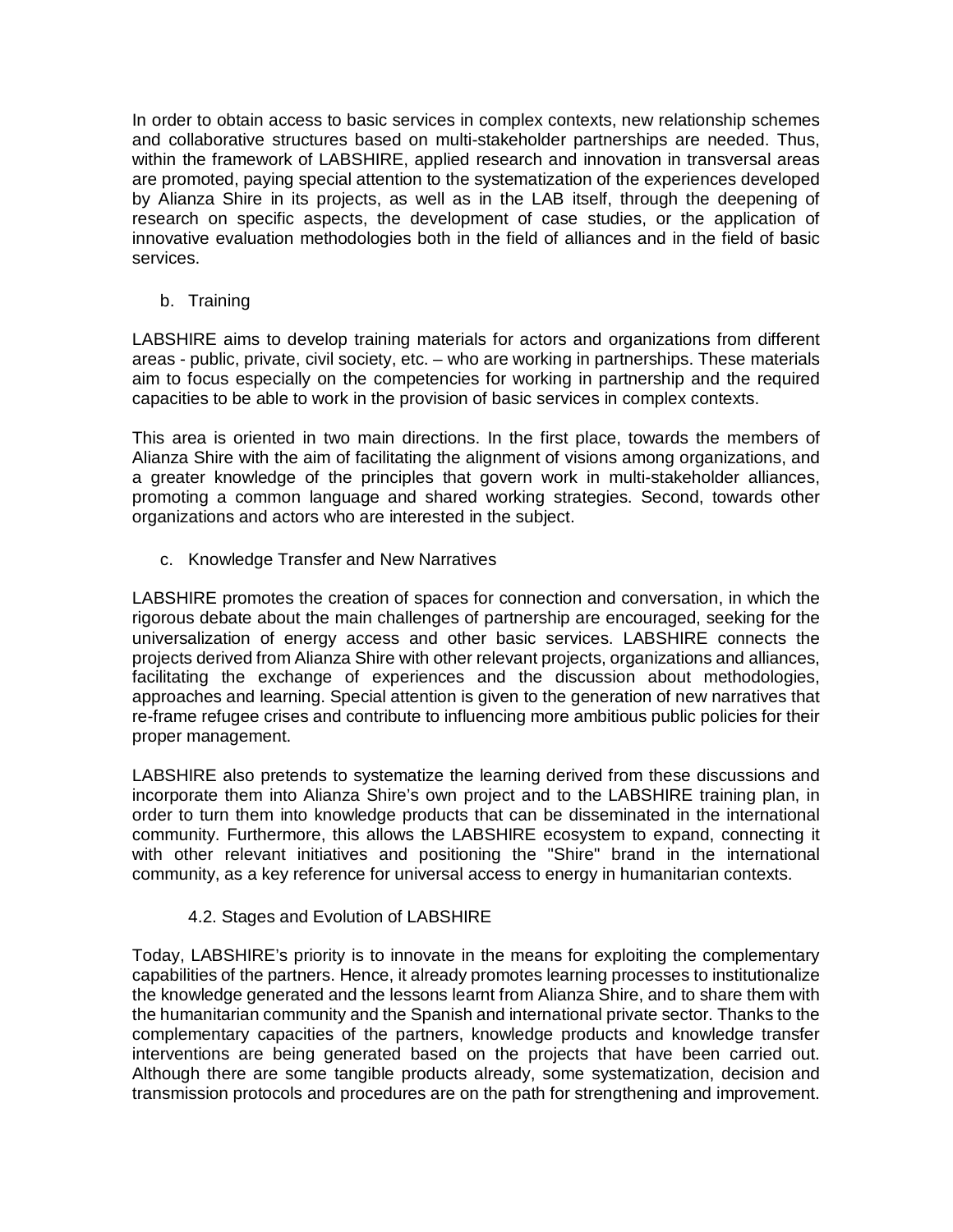In order to obtain access to basic services in complex contexts, new relationship schemes and collaborative structures based on multi-stakeholder partnerships are needed. Thus, within the framework of LABSHIRE, applied research and innovation in transversal areas are promoted, paying special attention to the systematization of the experiences developed by Alianza Shire in its projects, as well as in the LAB itself, through the deepening of research on specific aspects, the development of case studies, or the application of innovative evaluation methodologies both in the field of alliances and in the field of basic services.

b. Training

LABSHIRE aims to develop training materials for actors and organizations from different areas - public, private, civil society, etc. – who are working in partnerships. These materials aim to focus especially on the competencies for working in partnership and the required capacities to be able to work in the provision of basic services in complex contexts.

This area is oriented in two main directions. In the first place, towards the members of Alianza Shire with the aim of facilitating the alignment of visions among organizations, and a greater knowledge of the principles that govern work in multi-stakeholder alliances, promoting a common language and shared working strategies. Second, towards other organizations and actors who are interested in the subject.

c. Knowledge Transfer and New Narratives

LABSHIRE promotes the creation of spaces for connection and conversation, in which the rigorous debate about the main challenges of partnership are encouraged, seeking for the universalization of energy access and other basic services. LABSHIRE connects the projects derived from Alianza Shire with other relevant projects, organizations and alliances, facilitating the exchange of experiences and the discussion about methodologies, approaches and learning. Special attention is given to the generation of new narratives that re-frame refugee crises and contribute to influencing more ambitious public policies for their proper management.

LABSHIRE also pretends to systematize the learning derived from these discussions and incorporate them into Alianza Shire's own project and to the LABSHIRE training plan, in order to turn them into knowledge products that can be disseminated in the international community. Furthermore, this allows the LABSHIRE ecosystem to expand, connecting it with other relevant initiatives and positioning the "Shire" brand in the international community, as a key reference for universal access to energy in humanitarian contexts.

## 4.2. Stages and Evolution of LABSHIRE

Today, LABSHIRE's priority is to innovate in the means for exploiting the complementary capabilities of the partners. Hence, it already promotes learning processes to institutionalize the knowledge generated and the lessons learnt from Alianza Shire, and to share them with the humanitarian community and the Spanish and international private sector. Thanks to the complementary capacities of the partners, knowledge products and knowledge transfer interventions are being generated based on the projects that have been carried out. Although there are some tangible products already, some systematization, decision and transmission protocols and procedures are on the path for strengthening and improvement.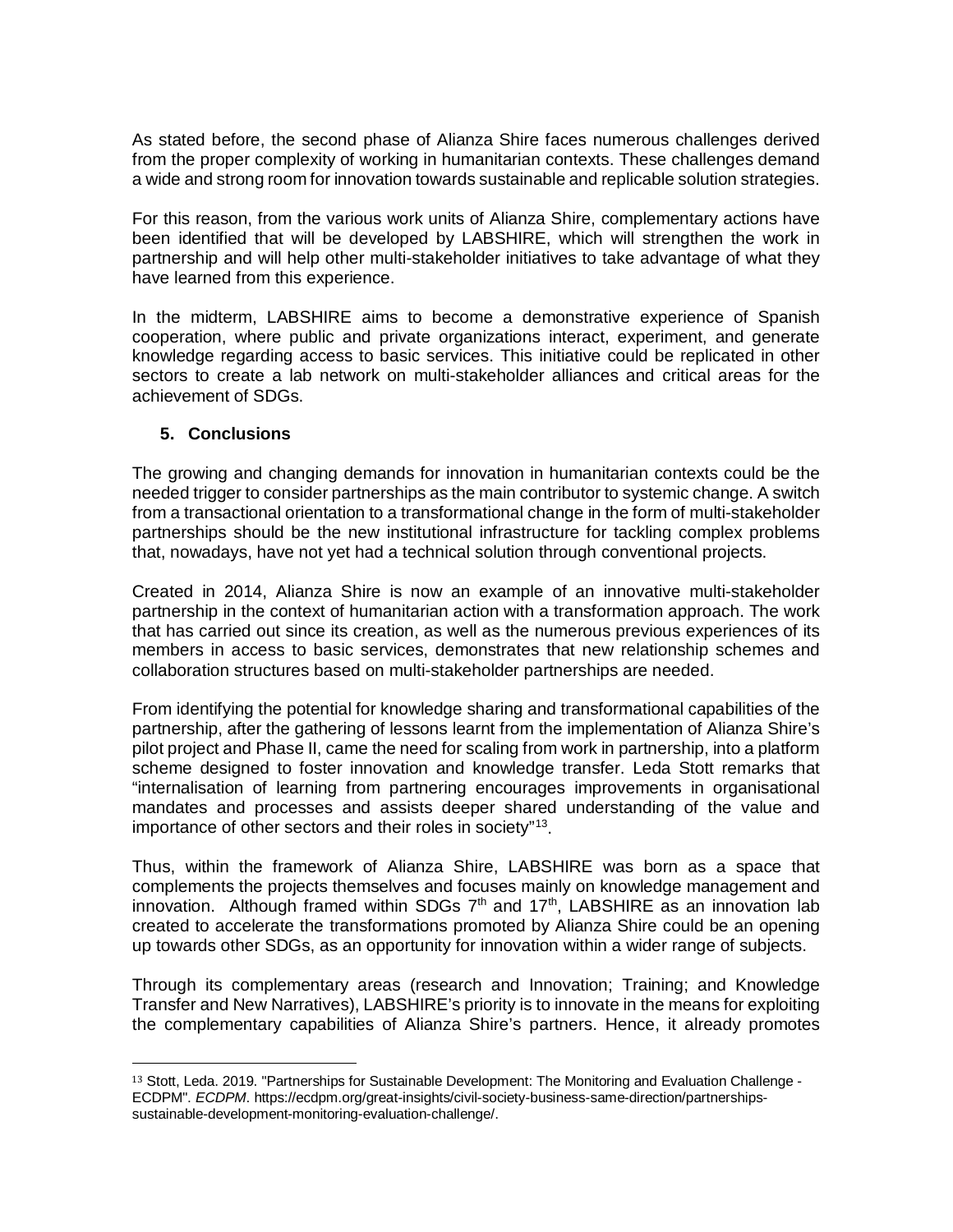As stated before, the second phase of Alianza Shire faces numerous challenges derived from the proper complexity of working in humanitarian contexts. These challenges demand a wide and strong room for innovation towards sustainable and replicable solution strategies.

For this reason, from the various work units of Alianza Shire, complementary actions have been identified that will be developed by LABSHIRE, which will strengthen the work in partnership and will help other multi-stakeholder initiatives to take advantage of what they have learned from this experience.

In the midterm, LABSHIRE aims to become a demonstrative experience of Spanish cooperation, where public and private organizations interact, experiment, and generate knowledge regarding access to basic services. This initiative could be replicated in other sectors to create a lab network on multi-stakeholder alliances and critical areas for the achievement of SDGs.

### **5. Conclusions**

The growing and changing demands for innovation in humanitarian contexts could be the needed trigger to consider partnerships as the main contributor to systemic change. A switch from a transactional orientation to a transformational change in the form of multi-stakeholder partnerships should be the new institutional infrastructure for tackling complex problems that, nowadays, have not yet had a technical solution through conventional projects.

Created in 2014, Alianza Shire is now an example of an innovative multi-stakeholder partnership in the context of humanitarian action with a transformation approach. The work that has carried out since its creation, as well as the numerous previous experiences of its members in access to basic services, demonstrates that new relationship schemes and collaboration structures based on multi-stakeholder partnerships are needed.

From identifying the potential for knowledge sharing and transformational capabilities of the partnership, after the gathering of lessons learnt from the implementation of Alianza Shire's pilot project and Phase II, came the need for scaling from work in partnership, into a platform scheme designed to foster innovation and knowledge transfer. Leda Stott remarks that "internalisation of learning from partnering encourages improvements in organisational mandates and processes and assists deeper shared understanding of the value and importance of other sectors and their roles in society"[13.](#page-10-0)

Thus, within the framework of Alianza Shire, LABSHIRE was born as a space that complements the projects themselves and focuses mainly on knowledge management and innovation. Although framed within SDGs  $7<sup>th</sup>$  and  $17<sup>th</sup>$ , LABSHIRE as an innovation lab created to accelerate the transformations promoted by Alianza Shire could be an opening up towards other SDGs, as an opportunity for innovation within a wider range of subjects.

Through its complementary areas (research and Innovation; Training; and Knowledge Transfer and New Narratives), LABSHIRE's priority is to innovate in the means for exploiting the complementary capabilities of Alianza Shire's partners. Hence, it already promotes

<span id="page-10-0"></span> <sup>13</sup> Stott, Leda. 2019. "Partnerships for Sustainable Development: The Monitoring and Evaluation Challenge - ECDPM". *ECDPM*. https://ecdpm.org/great-insights/civil-society-business-same-direction/partnershipssustainable-development-monitoring-evaluation-challenge/.